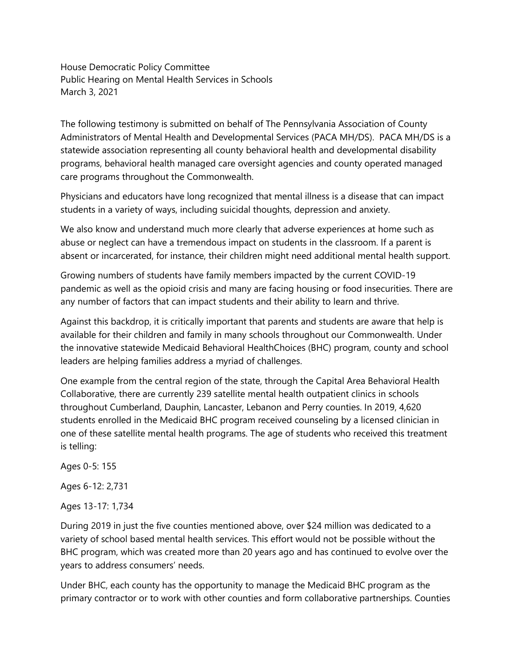House Democratic Policy Committee Public Hearing on Mental Health Services in Schools March 3, 2021

The following testimony is submitted on behalf of The Pennsylvania Association of County Administrators of Mental Health and Developmental Services (PACA MH/DS). PACA MH/DS is a statewide association representing all county behavioral health and developmental disability programs, behavioral health managed care oversight agencies and county operated managed care programs throughout the Commonwealth.

Physicians and educators have long recognized that mental illness is a disease that can impact students in a variety of ways, including suicidal thoughts, depression and anxiety.

We also know and understand much more clearly that adverse experiences at home such as abuse or neglect can have a tremendous impact on students in the classroom. If a parent is absent or incarcerated, for instance, their children might need additional mental health support.

Growing numbers of students have family members impacted by the current COVID-19 pandemic as well as the opioid crisis and many are facing housing or food insecurities. There are any number of factors that can impact students and their ability to learn and thrive.

Against this backdrop, it is critically important that parents and students are aware that help is available for their children and family in many schools throughout our Commonwealth. Under the innovative statewide Medicaid Behavioral HealthChoices (BHC) program, county and school leaders are helping families address a myriad of challenges.

One example from the central region of the state, through the Capital Area Behavioral Health Collaborative, there are currently 239 satellite mental health outpatient clinics in schools throughout Cumberland, Dauphin, Lancaster, Lebanon and Perry counties. In 2019, 4,620 students enrolled in the Medicaid BHC program received counseling by a licensed clinician in one of these satellite mental health programs. The age of students who received this treatment is telling:

Ages 0-5: 155 Ages 6-12: 2,731

Ages 13-17: 1,734

During 2019 in just the five counties mentioned above, over \$24 million was dedicated to a variety of school based mental health services. This effort would not be possible without the BHC program, which was created more than 20 years ago and has continued to evolve over the years to address consumers' needs.

Under BHC, each county has the opportunity to manage the Medicaid BHC program as the primary contractor or to work with other counties and form collaborative partnerships. Counties